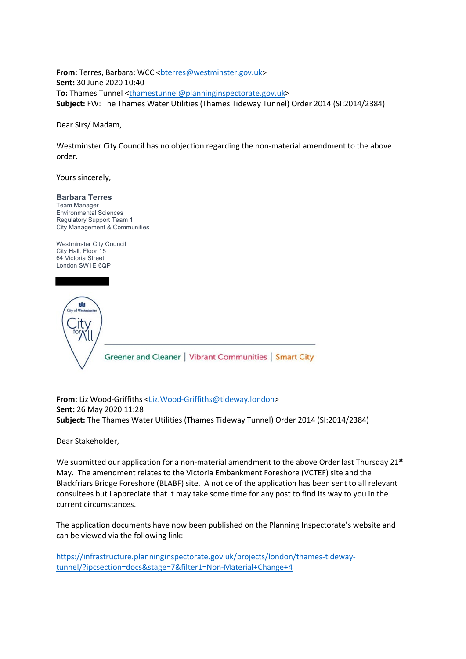**From:** Terres, Barbara: WCC <br />
dterres@westminster.gov.uk> **Sent:** 30 June 2020 10:40 **To:** Thames Tunnel <thamestunnel@planninginspectorate.gov.uk> **Subject:** FW: The Thames Water Utilities (Thames Tideway Tunnel) Order 2014 (SI:2014/2384)

Dear Sirs/ Madam,

Westminster City Council has no objection regarding the non-material amendment to the above order.

Yours sincerely,

**Barbara Terres**

Team Manager Environmental Sciences Regulatory Support Team 1 City Management & Communities

Westminster City Council City Hall, Floor 15 64 Victoria Street London SW1E 6QP



**From:** Liz Wood-Griffiths <Liz.Wood-Griffiths@tideway.london> **Sent:** 26 May 2020 11:28 **Subject:** The Thames Water Utilities (Thames Tideway Tunnel) Order 2014 (SI:2014/2384)

Dear Stakeholder,

We submitted our application for a non-material amendment to the above Order last Thursday  $21^{st}$ May. The amendment relates to the Victoria Embankment Foreshore (VCTEF) site and the Blackfriars Bridge Foreshore (BLABF) site. A notice of the application has been sent to all relevant consultees but I appreciate that it may take some time for any post to find its way to you in the current circumstances.

The application documents have now been published on the Planning Inspectorate's website and can be viewed via the following link:

https://infrastructure.planninginspectorate.gov.uk/projects/london/thames-tidewaytunnel/?ipcsection=docs&stage=7&filter1=Non-Material+Change+4